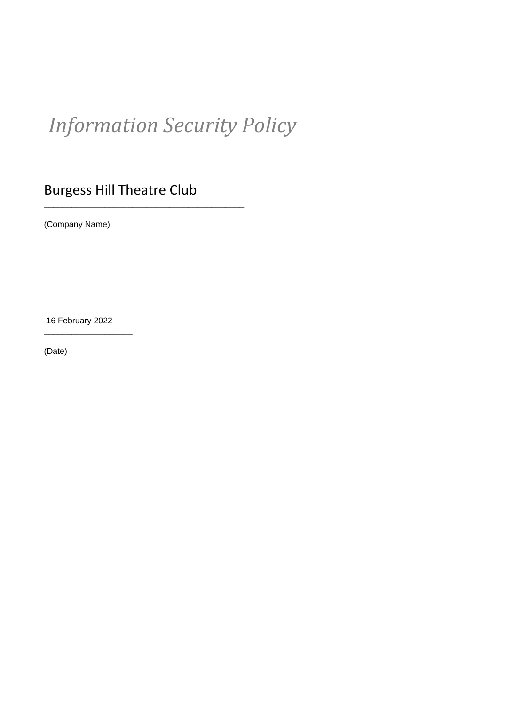# *Information Security Policy*

## Burgess Hill Theatre Club

\_\_\_\_\_\_\_\_\_\_\_\_\_\_\_\_\_\_\_\_\_\_\_\_\_\_\_\_\_\_\_\_\_\_\_\_\_\_\_\_\_\_\_

(Company Name)

16 February 2022

\_\_\_\_\_\_\_\_\_\_\_\_\_\_\_\_\_\_\_

(Date)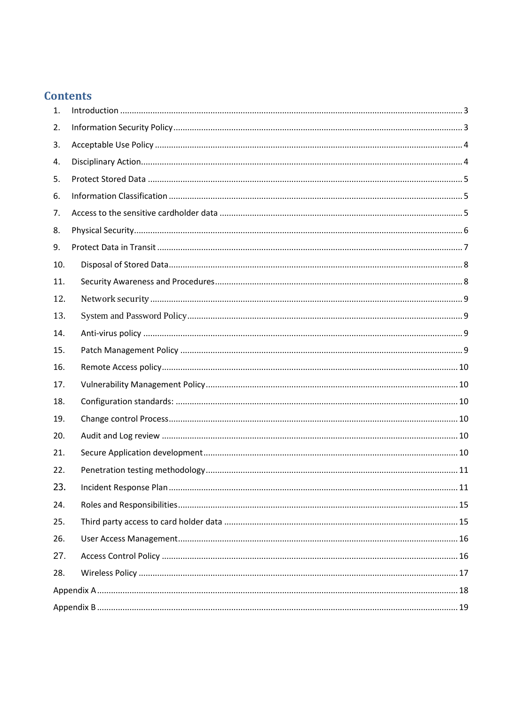## **Contents**

| 1.  |  |  |  |  |  |
|-----|--|--|--|--|--|
| 2.  |  |  |  |  |  |
| 3.  |  |  |  |  |  |
| 4.  |  |  |  |  |  |
| 5.  |  |  |  |  |  |
| 6.  |  |  |  |  |  |
| 7.  |  |  |  |  |  |
| 8.  |  |  |  |  |  |
| 9.  |  |  |  |  |  |
| 10. |  |  |  |  |  |
| 11. |  |  |  |  |  |
| 12. |  |  |  |  |  |
| 13. |  |  |  |  |  |
| 14. |  |  |  |  |  |
| 15. |  |  |  |  |  |
| 16. |  |  |  |  |  |
| 17. |  |  |  |  |  |
| 18. |  |  |  |  |  |
| 19. |  |  |  |  |  |
| 20. |  |  |  |  |  |
| 21. |  |  |  |  |  |
| 22. |  |  |  |  |  |
| 23. |  |  |  |  |  |
| 24. |  |  |  |  |  |
| 25. |  |  |  |  |  |
| 26. |  |  |  |  |  |
| 27. |  |  |  |  |  |
| 28. |  |  |  |  |  |
|     |  |  |  |  |  |
|     |  |  |  |  |  |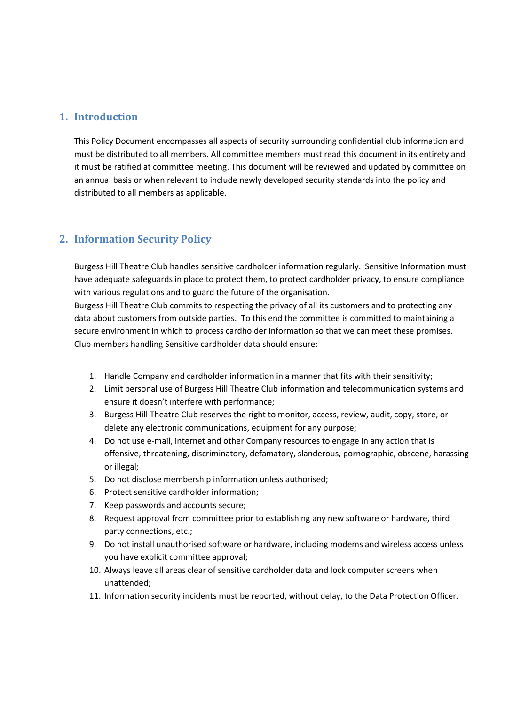## <span id="page-2-0"></span>**1. Introduction**

This Policy Document encompasses all aspects of security surrounding confidential club information and must be distributed to all members. All committee members must read this document in its entirety and it must be ratified at committee meeting. This document will be reviewed and updated by committee on an annual basis or when relevant to include newly developed security standards into the policy and distributed to all members as applicable.

## <span id="page-2-1"></span>**2. Information Security Policy**

Burgess Hill Theatre Club handles sensitive cardholder information regularly. Sensitive Information must have adequate safeguards in place to protect them, to protect cardholder privacy, to ensure compliance with various regulations and to guard the future of the organisation.

Burgess Hill Theatre Club commits to respecting the privacy of all its customers and to protecting any data about customers from outside parties. To this end the committee is committed to maintaining a secure environment in which to process cardholder information so that we can meet these promises. Club members handling Sensitive cardholder data should ensure:

- 1. Handle Company and cardholder information in a manner that fits with their sensitivity;
- 2. Limit personal use of Burgess Hill Theatre Club information and telecommunication systems and ensure it doesn't interfere with performance;
- 3. Burgess Hill Theatre Club reserves the right to monitor, access, review, audit, copy, store, or delete any electronic communications, equipment for any purpose;
- 4. Do not use e-mail, internet and other Company resources to engage in any action that is offensive, threatening, discriminatory, defamatory, slanderous, pornographic, obscene, harassing or illegal;
- 5. Do not disclose membership information unless authorised;
- 6. Protect sensitive cardholder information;
- 7. Keep passwords and accounts secure;
- 8. Request approval from committee prior to establishing any new software or hardware, third party connections, etc.;
- 9. Do not install unauthorised software or hardware, including modems and wireless access unless you have explicit committee approval;
- 10. Always leave all areas clear of sensitive cardholder data and lock computer screens when unattended;
- 11. Information security incidents must be reported, without delay, to the Data Protection Officer.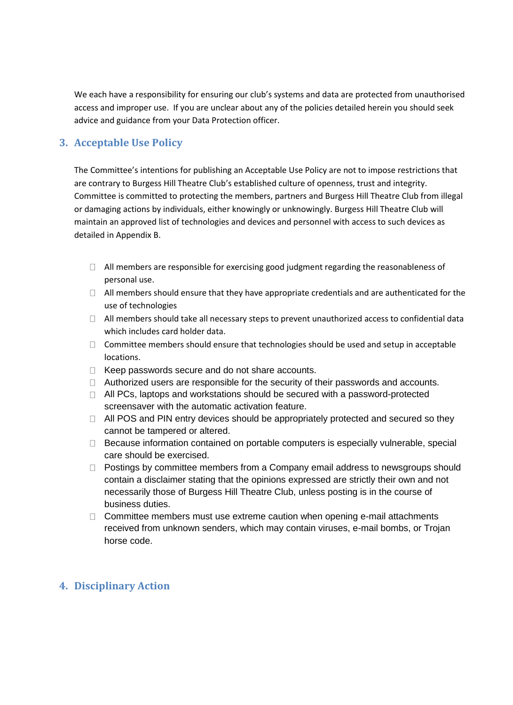We each have a responsibility for ensuring our club's systems and data are protected from unauthorised access and improper use. If you are unclear about any of the policies detailed herein you should seek advice and guidance from your Data Protection officer.

## <span id="page-3-0"></span>**3. Acceptable Use Policy**

The Committee's intentions for publishing an Acceptable Use Policy are not to impose restrictions that are contrary to Burgess Hill Theatre Club's established culture of openness, trust and integrity. Committee is committed to protecting the members, partners and Burgess Hill Theatre Club from illegal or damaging actions by individuals, either knowingly or unknowingly. Burgess Hill Theatre Club will maintain an approved list of technologies and devices and personnel with access to such devices as detailed in Appendix B.

- $\Box$  All members are responsible for exercising good judgment regarding the reasonableness of personal use.
- $\Box$  All members should ensure that they have appropriate credentials and are authenticated for the use of technologies
- $\Box$  All members should take all necessary steps to prevent unauthorized access to confidential data which includes card holder data.
- $\Box$  Committee members should ensure that technologies should be used and setup in acceptable locations.
- $\Box$  Keep passwords secure and do not share accounts.
- $\Box$  Authorized users are responsible for the security of their passwords and accounts.
- $\Box$  All PCs, laptops and workstations should be secured with a password-protected screensaver with the automatic activation feature.
- □ All POS and PIN entry devices should be appropriately protected and secured so they cannot be tampered or altered.
- $\Box$  Because information contained on portable computers is especially vulnerable, special care should be exercised.
- $\Box$  Postings by committee members from a Company email address to newsgroups should contain a disclaimer stating that the opinions expressed are strictly their own and not necessarily those of Burgess Hill Theatre Club, unless posting is in the course of business duties.
- $\Box$  Committee members must use extreme caution when opening e-mail attachments received from unknown senders, which may contain viruses, e-mail bombs, or Trojan horse code.

## <span id="page-3-1"></span>**4. Disciplinary Action**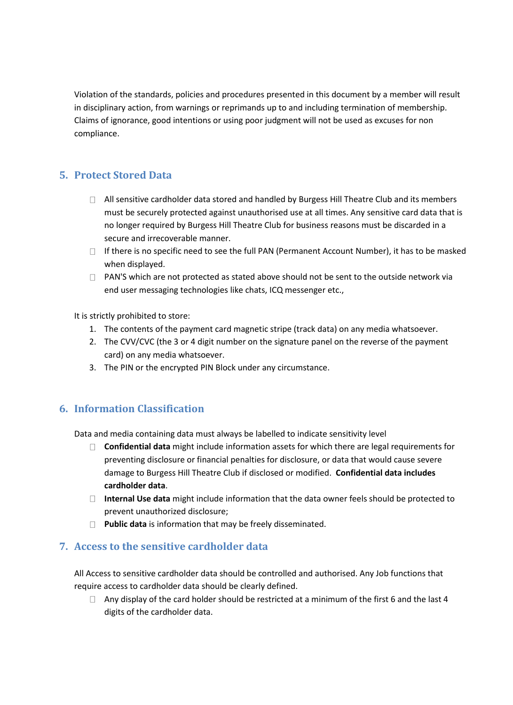Violation of the standards, policies and procedures presented in this document by a member will result in disciplinary action, from warnings or reprimands up to and including termination of membership. Claims of ignorance, good intentions or using poor judgment will not be used as excuses for non compliance.

## <span id="page-4-0"></span>**5. Protect Stored Data**

- $\Box$  All sensitive cardholder data stored and handled by Burgess Hill Theatre Club and its members must be securely protected against unauthorised use at all times. Any sensitive card data that is no longer required by Burgess Hill Theatre Club for business reasons must be discarded in a secure and irrecoverable manner.
- $\Box$  If there is no specific need to see the full PAN (Permanent Account Number), it has to be masked when displayed.
- $\Box$  PAN'S which are not protected as stated above should not be sent to the outside network via end user messaging technologies like chats, ICQ messenger etc.,

It is strictly prohibited to store:

- 1. The contents of the payment card magnetic stripe (track data) on any media whatsoever.
- 2. The CVV/CVC (the 3 or 4 digit number on the signature panel on the reverse of the payment card) on any media whatsoever.
- 3. The PIN or the encrypted PIN Block under any circumstance.

## <span id="page-4-1"></span>**6. Information Classification**

Data and media containing data must always be labelled to indicate sensitivity level

- **Confidential data** might include information assets for which there are legal requirements for preventing disclosure or financial penalties for disclosure, or data that would cause severe damage to Burgess Hill Theatre Club if disclosed or modified. **Confidential data includes cardholder data**.
- **Internal Use data** might include information that the data owner feels should be protected to prevent unauthorized disclosure;
- **Public data** is information that may be freely disseminated.

## <span id="page-4-2"></span>**7. Access to the sensitive cardholder data**

All Access to sensitive cardholder data should be controlled and authorised. Any Job functions that require access to cardholder data should be clearly defined.

 $\Box$  Any display of the card holder should be restricted at a minimum of the first 6 and the last 4 digits of the cardholder data.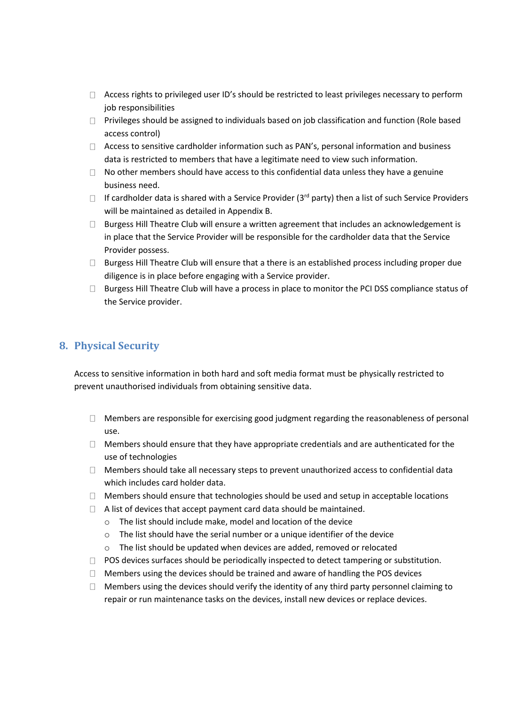- $\Box$  Access rights to privileged user ID's should be restricted to least privileges necessary to perform job responsibilities
- $\Box$  Privileges should be assigned to individuals based on job classification and function (Role based access control)
- $\Box$  Access to sensitive cardholder information such as PAN's, personal information and business data is restricted to members that have a legitimate need to view such information.
- $\Box$  No other members should have access to this confidential data unless they have a genuine business need.
- If cardholder data is shared with a Service Provider (3<sup>rd</sup> party) then a list of such Service Providers will be maintained as detailed in Appendix B.
- □ Burgess Hill Theatre Club will ensure a written agreement that includes an acknowledgement is in place that the Service Provider will be responsible for the cardholder data that the Service Provider possess.
- $\Box$  Burgess Hill Theatre Club will ensure that a there is an established process including proper due diligence is in place before engaging with a Service provider.
- $\Box$  Burgess Hill Theatre Club will have a process in place to monitor the PCI DSS compliance status of the Service provider.

## <span id="page-5-0"></span>**8. Physical Security**

Access to sensitive information in both hard and soft media format must be physically restricted to prevent unauthorised individuals from obtaining sensitive data.

- $\Box$  Members are responsible for exercising good judgment regarding the reasonableness of personal use.
- $\Box$  Members should ensure that they have appropriate credentials and are authenticated for the use of technologies
- Members should take all necessary steps to prevent unauthorized access to confidential data which includes card holder data.
- $\Box$  Members should ensure that technologies should be used and setup in acceptable locations
- $\Box$  A list of devices that accept payment card data should be maintained.
	- o The list should include make, model and location of the device
	- o The list should have the serial number or a unique identifier of the device
	- $\circ$  The list should be updated when devices are added, removed or relocated
- $\Box$  POS devices surfaces should be periodically inspected to detect tampering or substitution.
- $\Box$  Members using the devices should be trained and aware of handling the POS devices
- $\Box$  Members using the devices should verify the identity of any third party personnel claiming to repair or run maintenance tasks on the devices, install new devices or replace devices.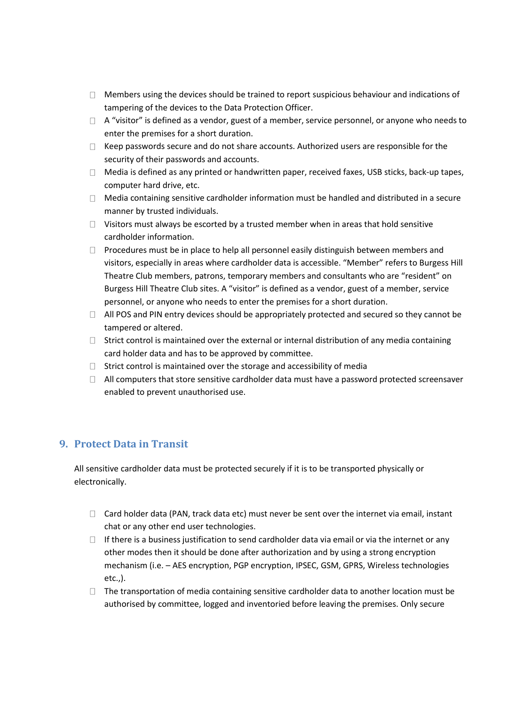- $\Box$  Members using the devices should be trained to report suspicious behaviour and indications of tampering of the devices to the Data Protection Officer.
- $\Box$  A "visitor" is defined as a vendor, guest of a member, service personnel, or anyone who needs to enter the premises for a short duration.
- $\Box$  Keep passwords secure and do not share accounts. Authorized users are responsible for the security of their passwords and accounts.
- $\Box$  Media is defined as any printed or handwritten paper, received faxes, USB sticks, back-up tapes, computer hard drive, etc.
- $\Box$  Media containing sensitive cardholder information must be handled and distributed in a secure manner by trusted individuals.
- $\Box$  Visitors must always be escorted by a trusted member when in areas that hold sensitive cardholder information.
- $\Box$  Procedures must be in place to help all personnel easily distinguish between members and visitors, especially in areas where cardholder data is accessible. "Member" refers to Burgess Hill Theatre Club members, patrons, temporary members and consultants who are "resident" on Burgess Hill Theatre Club sites. A "visitor" is defined as a vendor, guest of a member, service personnel, or anyone who needs to enter the premises for a short duration.
- $\Box$  All POS and PIN entry devices should be appropriately protected and secured so they cannot be tampered or altered.
- $\Box$  Strict control is maintained over the external or internal distribution of any media containing card holder data and has to be approved by committee.
- $\Box$  Strict control is maintained over the storage and accessibility of media
- $\Box$  All computers that store sensitive cardholder data must have a password protected screensaver enabled to prevent unauthorised use.

## <span id="page-6-0"></span>**9. Protect Data in Transit**

All sensitive cardholder data must be protected securely if it is to be transported physically or electronically.

- $\Box$  Card holder data (PAN, track data etc) must never be sent over the internet via email, instant chat or any other end user technologies.
- $\Box$  If there is a business justification to send cardholder data via email or via the internet or any other modes then it should be done after authorization and by using a strong encryption mechanism (i.e. – AES encryption, PGP encryption, IPSEC, GSM, GPRS, Wireless technologies etc.,).
- $\Box$  The transportation of media containing sensitive cardholder data to another location must be authorised by committee, logged and inventoried before leaving the premises. Only secure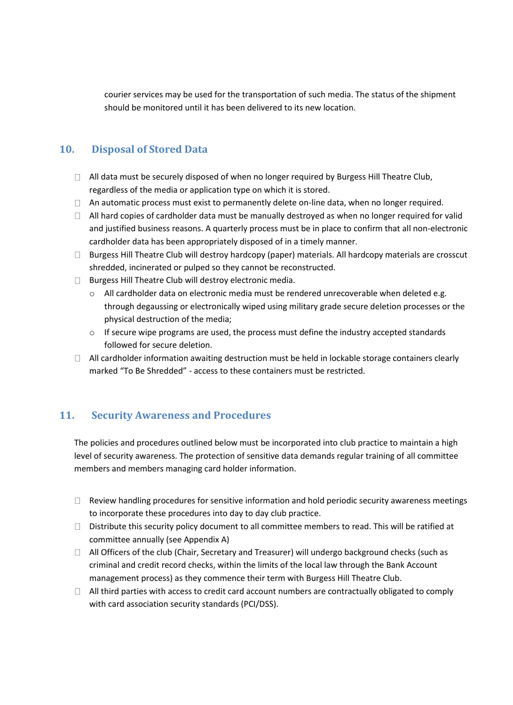courier services may be used for the transportation of such media. The status of the shipment should be monitored until it has been delivered to its new location.

## <span id="page-7-0"></span>**10. Disposal of Stored Data**

- □ All data must be securely disposed of when no longer required by Burgess Hill Theatre Club, regardless of the media or application type on which it is stored.
- $\Box$  An automatic process must exist to permanently delete on-line data, when no longer required.
- $\Box$  All hard copies of cardholder data must be manually destroyed as when no longer required for valid and justified business reasons. A quarterly process must be in place to confirm that all non-electronic cardholder data has been appropriately disposed of in a timely manner.
- $\Box$  Burgess Hill Theatre Club will destroy hardcopy (paper) materials. All hardcopy materials are crosscut shredded, incinerated or pulped so they cannot be reconstructed.
- $\Box$  Burgess Hill Theatre Club will destroy electronic media.
	- o All cardholder data on electronic media must be rendered unrecoverable when deleted e.g. through degaussing or electronically wiped using military grade secure deletion processes or the physical destruction of the media;
	- $\circ$  If secure wipe programs are used, the process must define the industry accepted standards followed for secure deletion.
- $\Box$  All cardholder information awaiting destruction must be held in lockable storage containers clearly marked "To Be Shredded" - access to these containers must be restricted.

## <span id="page-7-1"></span>**11. Security Awareness and Procedures**

The policies and procedures outlined below must be incorporated into club practice to maintain a high level of security awareness. The protection of sensitive data demands regular training of all committee members and members managing card holder information.

- $\Box$  Review handling procedures for sensitive information and hold periodic security awareness meetings to incorporate these procedures into day to day club practice.
- $\Box$  Distribute this security policy document to all committee members to read. This will be ratified at committee annually (see Appendix A)
- $\Box$  All Officers of the club (Chair, Secretary and Treasurer) will undergo background checks (such as criminal and credit record checks, within the limits of the local law through the Bank Account management process) as they commence their term with Burgess Hill Theatre Club.
- $\Box$  All third parties with access to credit card account numbers are contractually obligated to comply with card association security standards (PCI/DSS).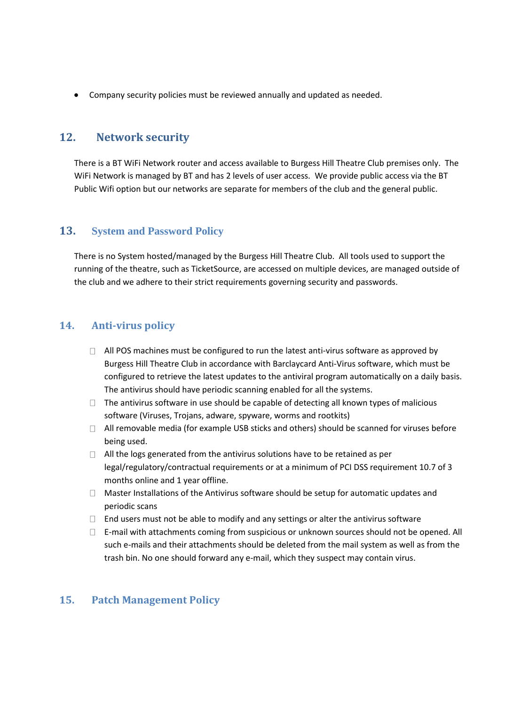Company security policies must be reviewed annually and updated as needed.

## <span id="page-8-0"></span>**12. Network security**

There is a BT WiFi Network router and access available to Burgess Hill Theatre Club premises only. The WiFi Network is managed by BT and has 2 levels of user access. We provide public access via the BT Public Wifi option but our networks are separate for members of the club and the general public.

## <span id="page-8-1"></span>**13. System and Password Policy**

There is no System hosted/managed by the Burgess Hill Theatre Club. All tools used to support the running of the theatre, such as TicketSource, are accessed on multiple devices, are managed outside of the club and we adhere to their strict requirements governing security and passwords.

## <span id="page-8-2"></span>**14. Anti-virus policy**

- $\Box$  All POS machines must be configured to run the latest anti-virus software as approved by Burgess Hill Theatre Club in accordance with Barclaycard Anti-Virus software, which must be configured to retrieve the latest updates to the antiviral program automatically on a daily basis. The antivirus should have periodic scanning enabled for all the systems.
- $\Box$  The antivirus software in use should be capable of detecting all known types of malicious software (Viruses, Trojans, adware, spyware, worms and rootkits)
- $\Box$  All removable media (for example USB sticks and others) should be scanned for viruses before being used.
- $\Box$  All the logs generated from the antivirus solutions have to be retained as per legal/regulatory/contractual requirements or at a minimum of PCI DSS requirement 10.7 of 3 months online and 1 year offline.
- $\Box$  Master Installations of the Antivirus software should be setup for automatic updates and periodic scans
- $\Box$  End users must not be able to modify and any settings or alter the antivirus software
- $\Box$  E-mail with attachments coming from suspicious or unknown sources should not be opened. All such e-mails and their attachments should be deleted from the mail system as well as from the trash bin. No one should forward any e-mail, which they suspect may contain virus.

## <span id="page-8-3"></span>**15. Patch Management Policy**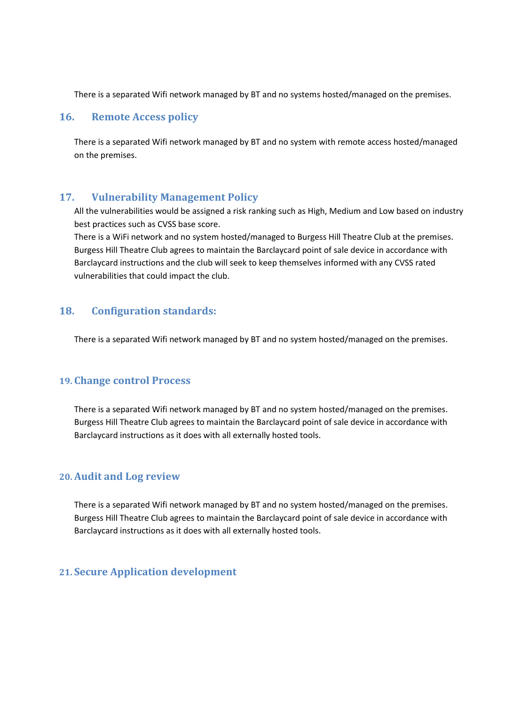There is a separated Wifi network managed by BT and no systems hosted/managed on the premises.

#### <span id="page-9-0"></span>**16. Remote Access policy**

There is a separated Wifi network managed by BT and no system with remote access hosted/managed on the premises.

## <span id="page-9-1"></span>**17. Vulnerability Management Policy**

All the vulnerabilities would be assigned a risk ranking such as High, Medium and Low based on industry best practices such as CVSS base score.

There is a WiFi network and no system hosted/managed to Burgess Hill Theatre Club at the premises. Burgess Hill Theatre Club agrees to maintain the Barclaycard point of sale device in accordance with Barclaycard instructions and the club will seek to keep themselves informed with any CVSS rated vulnerabilities that could impact the club.

## <span id="page-9-2"></span>**18. Configuration standards:**

There is a separated Wifi network managed by BT and no system hosted/managed on the premises.

#### <span id="page-9-3"></span>**19. Change control Process**

There is a separated Wifi network managed by BT and no system hosted/managed on the premises. Burgess Hill Theatre Club agrees to maintain the Barclaycard point of sale device in accordance with Barclaycard instructions as it does with all externally hosted tools.

#### <span id="page-9-4"></span>**20. Audit and Log review**

There is a separated Wifi network managed by BT and no system hosted/managed on the premises. Burgess Hill Theatre Club agrees to maintain the Barclaycard point of sale device in accordance with Barclaycard instructions as it does with all externally hosted tools.

## <span id="page-9-5"></span>**21. Secure Application development**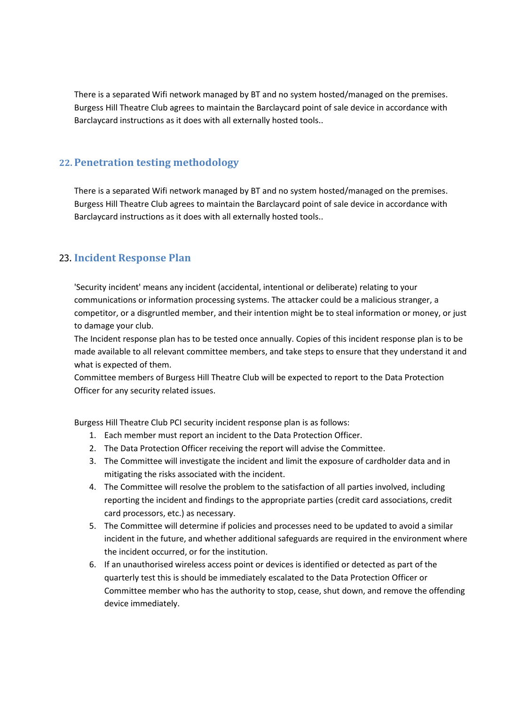There is a separated Wifi network managed by BT and no system hosted/managed on the premises. Burgess Hill Theatre Club agrees to maintain the Barclaycard point of sale device in accordance with Barclaycard instructions as it does with all externally hosted tools..

## <span id="page-10-0"></span>**22. Penetration testing methodology**

There is a separated Wifi network managed by BT and no system hosted/managed on the premises. Burgess Hill Theatre Club agrees to maintain the Barclaycard point of sale device in accordance with Barclaycard instructions as it does with all externally hosted tools..

## <span id="page-10-1"></span>23. **Incident Response Plan**

'Security incident' means any incident (accidental, intentional or deliberate) relating to your communications or information processing systems. The attacker could be a malicious stranger, a competitor, or a disgruntled member, and their intention might be to steal information or money, or just to damage your club.

The Incident response plan has to be tested once annually. Copies of this incident response plan is to be made available to all relevant committee members, and take steps to ensure that they understand it and what is expected of them.

Committee members of Burgess Hill Theatre Club will be expected to report to the Data Protection Officer for any security related issues.

Burgess Hill Theatre Club PCI security incident response plan is as follows:

- 1. Each member must report an incident to the Data Protection Officer.
- 2. The Data Protection Officer receiving the report will advise the Committee.
- 3. The Committee will investigate the incident and limit the exposure of cardholder data and in mitigating the risks associated with the incident.
- 4. The Committee will resolve the problem to the satisfaction of all parties involved, including reporting the incident and findings to the appropriate parties (credit card associations, credit card processors, etc.) as necessary.
- 5. The Committee will determine if policies and processes need to be updated to avoid a similar incident in the future, and whether additional safeguards are required in the environment where the incident occurred, or for the institution.
- 6. If an unauthorised wireless access point or devices is identified or detected as part of the quarterly test this is should be immediately escalated to the Data Protection Officer or Committee member who has the authority to stop, cease, shut down, and remove the offending device immediately.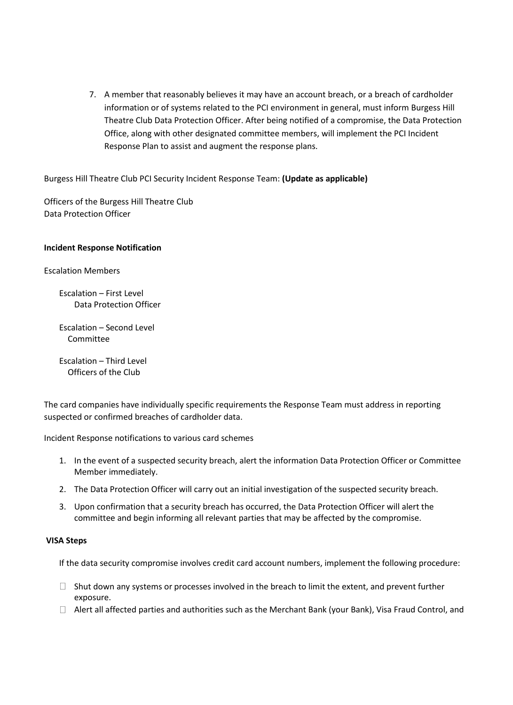7. A member that reasonably believes it may have an account breach, or a breach of cardholder information or of systems related to the PCI environment in general, must inform Burgess Hill Theatre Club Data Protection Officer. After being notified of a compromise, the Data Protection Office, along with other designated committee members, will implement the PCI Incident Response Plan to assist and augment the response plans.

Burgess Hill Theatre Club PCI Security Incident Response Team: **(Update as applicable)**

Officers of the Burgess Hill Theatre Club Data Protection Officer

#### **Incident Response Notification**

Escalation Members

Escalation – First Level Data Protection Officer

Escalation – Second Level Committee

Escalation – Third Level Officers of the Club

The card companies have individually specific requirements the Response Team must address in reporting suspected or confirmed breaches of cardholder data.

Incident Response notifications to various card schemes

- 1. In the event of a suspected security breach, alert the information Data Protection Officer or Committee Member immediately.
- 2. The Data Protection Officer will carry out an initial investigation of the suspected security breach.
- 3. Upon confirmation that a security breach has occurred, the Data Protection Officer will alert the committee and begin informing all relevant parties that may be affected by the compromise.

#### **VISA Steps**

If the data security compromise involves credit card account numbers, implement the following procedure:

- $\Box$  Shut down any systems or processes involved in the breach to limit the extent, and prevent further exposure.
- $\Box$  Alert all affected parties and authorities such as the Merchant Bank (your Bank), Visa Fraud Control, and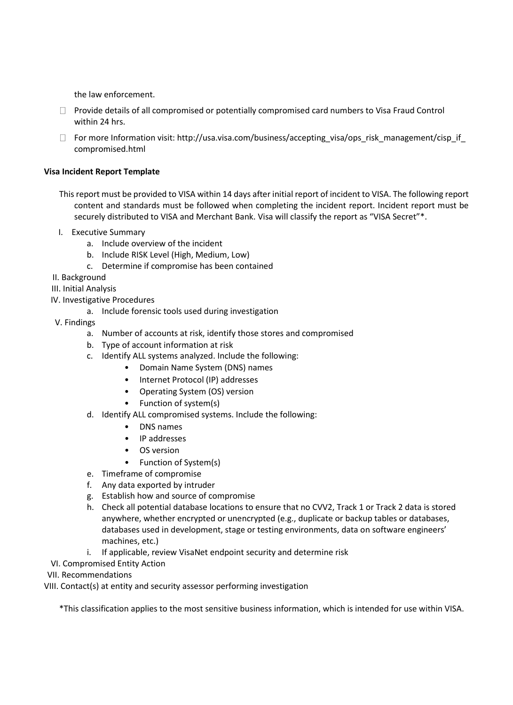the law enforcement.

- $\Box$  Provide details of all compromised or potentially compromised card numbers to Visa Fraud Control within 24 hrs.
- $\Box$  For more Information visit: http://usa.visa.com/business/accepting\_visa/ops\_risk\_management/cisp\_if compromised.html

#### **Visa Incident Report Template**

- This report must be provided to VISA within 14 days after initial report of incident to VISA. The following report content and standards must be followed when completing the incident report. Incident report must be securely distributed to VISA and Merchant Bank. Visa will classify the report as "VISA Secret"\*.
- I. Executive Summary
	- a. Include overview of the incident
	- b. Include RISK Level (High, Medium, Low)
	- c. Determine if compromise has been contained
- II. Background
- III. Initial Analysis
- IV. Investigative Procedures
	- a. Include forensic tools used during investigation
- V. Findings
	- a. Number of accounts at risk, identify those stores and compromised
	- b. Type of account information at risk
	- c. Identify ALL systems analyzed. Include the following:
		- Domain Name System (DNS) names
		- Internet Protocol (IP) addresses
		- Operating System (OS) version
		- Function of system(s)
	- d. Identify ALL compromised systems. Include the following:
		- DNS names
		- IP addresses
		- OS version
		- Function of System(s)
	- e. Timeframe of compromise
	- f. Any data exported by intruder
	- g. Establish how and source of compromise
	- h. Check all potential database locations to ensure that no CVV2, Track 1 or Track 2 data is stored anywhere, whether encrypted or unencrypted (e.g., duplicate or backup tables or databases, databases used in development, stage or testing environments, data on software engineers' machines, etc.)
	- i. If applicable, review VisaNet endpoint security and determine risk
- VI. Compromised Entity Action
- VII. Recommendations
- VIII. Contact(s) at entity and security assessor performing investigation

\*This classification applies to the most sensitive business information, which is intended for use within VISA.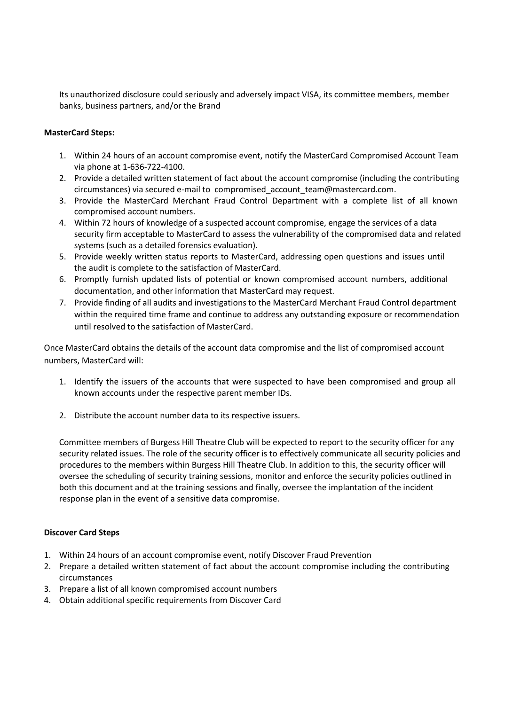Its unauthorized disclosure could seriously and adversely impact VISA, its committee members, member banks, business partners, and/or the Brand

#### **MasterCard Steps:**

- 1. Within 24 hours of an account compromise event, notify the MasterCard Compromised Account Team via phone at 1-636-722-4100.
- 2. Provide a detailed written statement of fact about the account compromise (including the contributing circumstances) via secured e-mail t[o compromised\\_account\\_team@mastercard.com.](mailto:compromised_account_team@mastercard.com)
- 3. Provide the MasterCard Merchant Fraud Control Department with a complete list of all known compromised account numbers.
- 4. Within 72 hours of knowledge of a suspected account compromise, engage the services of a data security firm acceptable to MasterCard to assess the vulnerability of the compromised data and related systems (such as a detailed forensics evaluation).
- 5. Provide weekly written status reports to MasterCard, addressing open questions and issues until the audit is complete to the satisfaction of MasterCard.
- 6. Promptly furnish updated lists of potential or known compromised account numbers, additional documentation, and other information that MasterCard may request.
- 7. Provide finding of all audits and investigations to the MasterCard Merchant Fraud Control department within the required time frame and continue to address any outstanding exposure or recommendation until resolved to the satisfaction of MasterCard.

Once MasterCard obtains the details of the account data compromise and the list of compromised account numbers, MasterCard will:

- 1. Identify the issuers of the accounts that were suspected to have been compromised and group all known accounts under the respective parent member IDs.
- 2. Distribute the account number data to its respective issuers.

Committee members of Burgess Hill Theatre Club will be expected to report to the security officer for any security related issues. The role of the security officer is to effectively communicate all security policies and procedures to the members within Burgess Hill Theatre Club. In addition to this, the security officer will oversee the scheduling of security training sessions, monitor and enforce the security policies outlined in both this document and at the training sessions and finally, oversee the implantation of the incident response plan in the event of a sensitive data compromise.

#### **Discover Card Steps**

- 1. Within 24 hours of an account compromise event, notify Discover Fraud Prevention
- 2. Prepare a detailed written statement of fact about the account compromise including the contributing circumstances
- 3. Prepare a list of all known compromised account numbers
- 4. Obtain additional specific requirements from Discover Card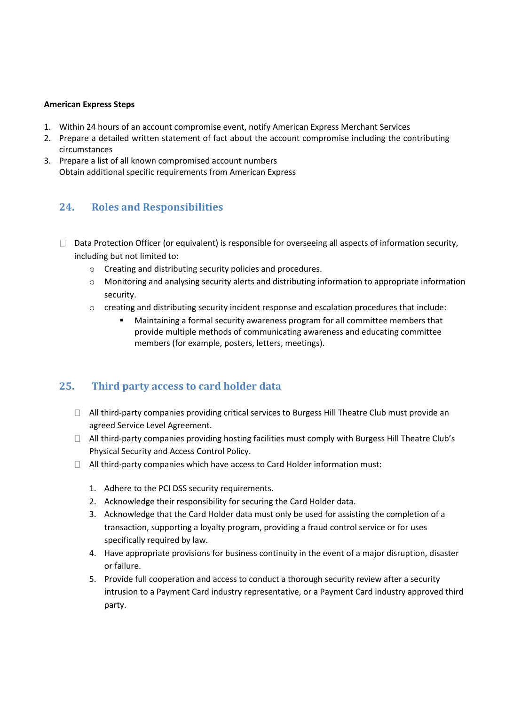#### **American Express Steps**

- 1. Within 24 hours of an account compromise event, notify American Express Merchant Services
- 2. Prepare a detailed written statement of fact about the account compromise including the contributing circumstances
- 3. Prepare a list of all known compromised account numbers Obtain additional specific requirements from American Express

## <span id="page-14-0"></span>**24. Roles and Responsibilities**

- $\Box$  Data Protection Officer (or equivalent) is responsible for overseeing all aspects of information security, including but not limited to:
	- o Creating and distributing security policies and procedures.
	- o Monitoring and analysing security alerts and distributing information to appropriate information security.
	- $\circ$  creating and distributing security incident response and escalation procedures that include:
		- Maintaining a formal security awareness program for all committee members that provide multiple methods of communicating awareness and educating committee members (for example, posters, letters, meetings).

## <span id="page-14-1"></span>**25. Third party access to card holder data**

- $\Box$  All third-party companies providing critical services to Burgess Hill Theatre Club must provide an agreed Service Level Agreement.
- □ All third-party companies providing hosting facilities must comply with Burgess Hill Theatre Club's Physical Security and Access Control Policy.
- $\Box$  All third-party companies which have access to Card Holder information must:
	- 1. Adhere to the PCI DSS security requirements.
	- 2. Acknowledge their responsibility for securing the Card Holder data.
	- 3. Acknowledge that the Card Holder data must only be used for assisting the completion of a transaction, supporting a loyalty program, providing a fraud control service or for uses specifically required by law.
	- 4. Have appropriate provisions for business continuity in the event of a major disruption, disaster or failure.
	- 5. Provide full cooperation and access to conduct a thorough security review after a security intrusion to a Payment Card industry representative, or a Payment Card industry approved third party.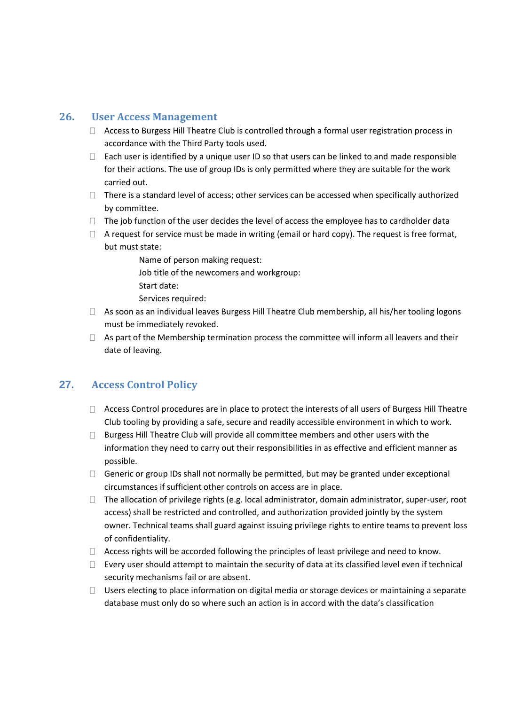## <span id="page-15-0"></span>**26. User Access Management**

- $\Box$  Access to Burgess Hill Theatre Club is controlled through a formal user registration process in accordance with the Third Party tools used.
- $\Box$  Each user is identified by a unique user ID so that users can be linked to and made responsible for their actions. The use of group IDs is only permitted where they are suitable for the work carried out.
- $\Box$  There is a standard level of access; other services can be accessed when specifically authorized by committee.
- $\Box$  The job function of the user decides the level of access the employee has to cardholder data
- $\Box$  A request for service must be made in writing (email or hard copy). The request is free format, but must state:
	- Name of person making request: Job title of the newcomers and workgroup: Start date:
	- Services required:
- $\Box$  As soon as an individual leaves Burgess Hill Theatre Club membership, all his/her tooling logons must be immediately revoked.
- $\Box$  As part of the Membership termination process the committee will inform all leavers and their date of leaving.

## <span id="page-15-1"></span>**27. Access Control Policy**

- $\Box$  Access Control procedures are in place to protect the interests of all users of Burgess Hill Theatre Club tooling by providing a safe, secure and readily accessible environment in which to work.
- $\Box$  Burgess Hill Theatre Club will provide all committee members and other users with the information they need to carry out their responsibilities in as effective and efficient manner as possible.
- $\Box$  Generic or group IDs shall not normally be permitted, but may be granted under exceptional circumstances if sufficient other controls on access are in place.
- $\Box$  The allocation of privilege rights (e.g. local administrator, domain administrator, super-user, root access) shall be restricted and controlled, and authorization provided jointly by the system owner. Technical teams shall guard against issuing privilege rights to entire teams to prevent loss of confidentiality.
- $\Box$  Access rights will be accorded following the principles of least privilege and need to know.
- $\Box$  Every user should attempt to maintain the security of data at its classified level even if technical security mechanisms fail or are absent.
- □ Users electing to place information on digital media or storage devices or maintaining a separate database must only do so where such an action is in accord with the data's classification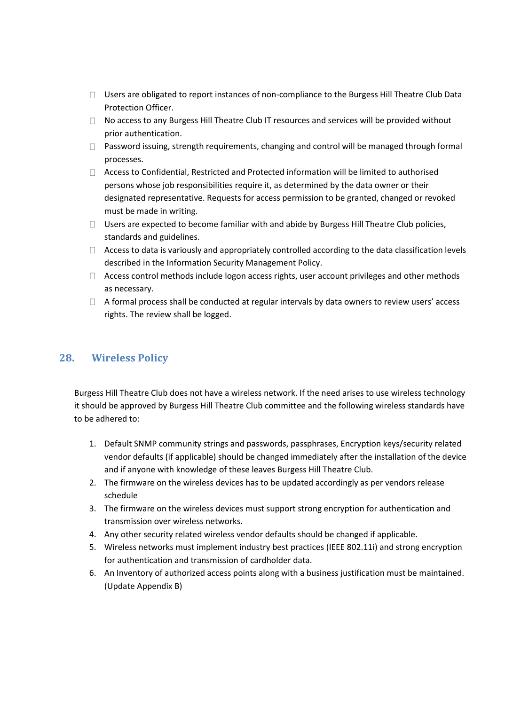- $\Box$  Users are obligated to report instances of non-compliance to the Burgess Hill Theatre Club Data Protection Officer.
- $\Box$  No access to any Burgess Hill Theatre Club IT resources and services will be provided without prior authentication.
- $\Box$  Password issuing, strength requirements, changing and control will be managed through formal processes.
- Access to Confidential, Restricted and Protected information will be limited to authorised persons whose job responsibilities require it, as determined by the data owner or their designated representative. Requests for access permission to be granted, changed or revoked must be made in writing.
- $\Box$  Users are expected to become familiar with and abide by Burgess Hill Theatre Club policies, standards and guidelines.
- $\Box$  Access to data is variously and appropriately controlled according to the data classification levels described in the Information Security Management Policy.
- $\Box$  Access control methods include logon access rights, user account privileges and other methods as necessary.
- $\Box$  A formal process shall be conducted at regular intervals by data owners to review users' access rights. The review shall be logged.

## <span id="page-16-0"></span>**28. Wireless Policy**

Burgess Hill Theatre Club does not have a wireless network. If the need arises to use wireless technology it should be approved by Burgess Hill Theatre Club committee and the following wireless standards have to be adhered to:

- 1. Default SNMP community strings and passwords, passphrases, Encryption keys/security related vendor defaults (if applicable) should be changed immediately after the installation of the device and if anyone with knowledge of these leaves Burgess Hill Theatre Club.
- 2. The firmware on the wireless devices has to be updated accordingly as per vendors release schedule
- 3. The firmware on the wireless devices must support strong encryption for authentication and transmission over wireless networks.
- 4. Any other security related wireless vendor defaults should be changed if applicable.
- 5. Wireless networks must implement industry best practices (IEEE 802.11i) and strong encryption for authentication and transmission of cardholder data.
- 6. An Inventory of authorized access points along with a business justification must be maintained. (Update Appendix B)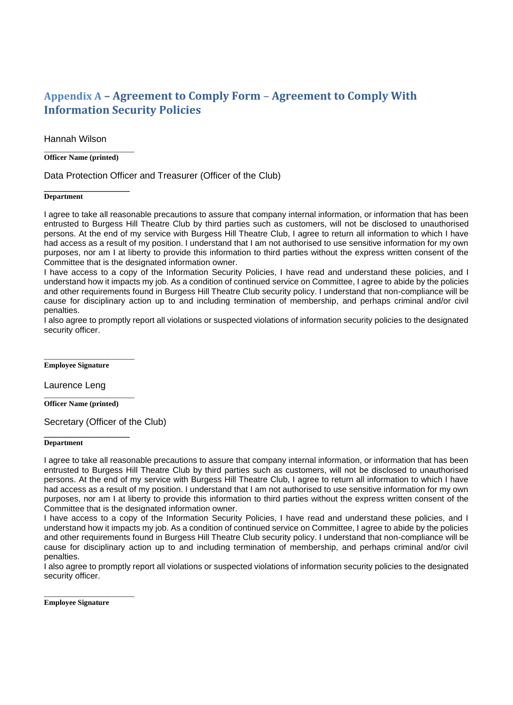## <span id="page-17-0"></span>**Appendix A – Agreement to Comply Form** – **Agreement to Comply With Information Security Policies**

Hannah Wilson

\_\_\_\_\_\_\_\_\_\_\_\_\_\_\_\_\_\_\_\_\_\_\_\_ **Officer Name (printed)** 

Data Protection Officer and Treasurer (Officer of the Club)

#### \_\_\_\_\_\_\_\_\_\_\_\_\_\_\_\_ **Department**

I agree to take all reasonable precautions to assure that company internal information, or information that has been entrusted to Burgess Hill Theatre Club by third parties such as customers, will not be disclosed to unauthorised persons. At the end of my service with Burgess Hill Theatre Club, I agree to return all information to which I have had access as a result of my position. I understand that I am not authorised to use sensitive information for my own purposes, nor am I at liberty to provide this information to third parties without the express written consent of the Committee that is the designated information owner.

I have access to a copy of the Information Security Policies, I have read and understand these policies, and I understand how it impacts my job. As a condition of continued service on Committee, I agree to abide by the policies and other requirements found in Burgess Hill Theatre Club security policy. I understand that non-compliance will be cause for disciplinary action up to and including termination of membership, and perhaps criminal and/or civil penalties.

I also agree to promptly report all violations or suspected violations of information security policies to the designated security officer.

**Employee Signature** 

\_\_\_\_\_\_\_\_\_\_\_\_\_\_\_\_\_\_\_\_\_\_\_\_

Laurence Leng

\_\_\_\_\_\_\_\_\_\_\_\_\_\_\_\_\_\_\_\_\_\_\_\_ **Officer Name (printed)** 

\_\_\_\_\_\_\_\_\_\_\_\_\_\_\_\_

Secretary (Officer of the Club)

#### **Department**

I agree to take all reasonable precautions to assure that company internal information, or information that has been entrusted to Burgess Hill Theatre Club by third parties such as customers, will not be disclosed to unauthorised persons. At the end of my service with Burgess Hill Theatre Club, I agree to return all information to which I have had access as a result of my position. I understand that I am not authorised to use sensitive information for my own purposes, nor am I at liberty to provide this information to third parties without the express written consent of the Committee that is the designated information owner.

I have access to a copy of the Information Security Policies, I have read and understand these policies, and I understand how it impacts my job. As a condition of continued service on Committee, I agree to abide by the policies and other requirements found in Burgess Hill Theatre Club security policy. I understand that non-compliance will be cause for disciplinary action up to and including termination of membership, and perhaps criminal and/or civil penalties.

I also agree to promptly report all violations or suspected violations of information security policies to the designated security officer.

**Employee Signature** 

\_\_\_\_\_\_\_\_\_\_\_\_\_\_\_\_\_\_\_\_\_\_\_\_